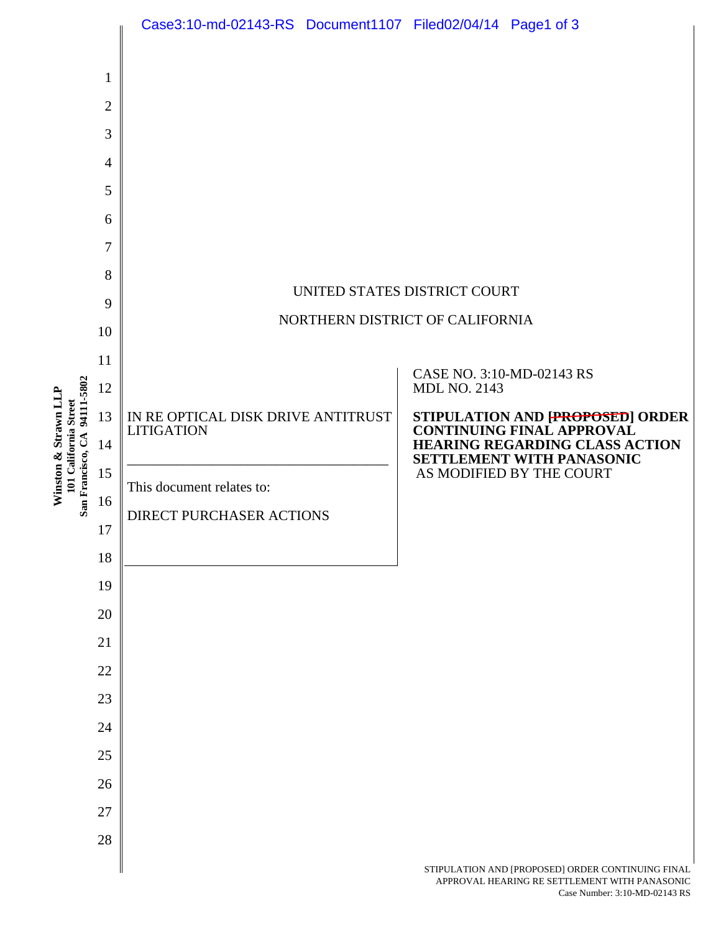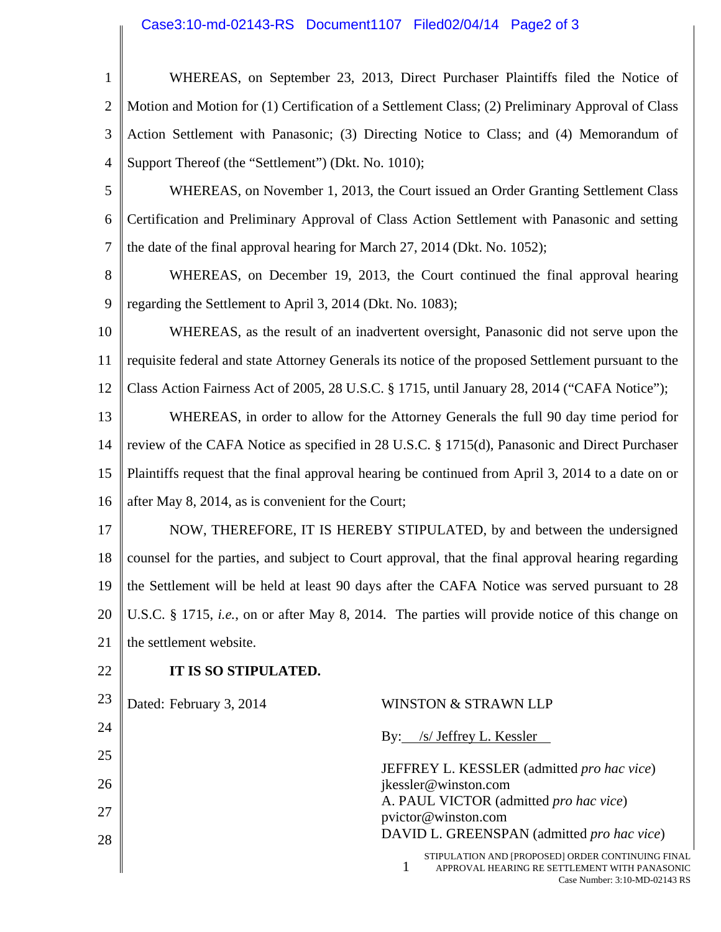## Case3:10-md-02143-RS Document1107 Filed02/04/14 Page2 of 3

| $\mathbf{1}$   |                                                                                                     | WHEREAS, on September 23, 2013, Direct Purchaser Plaintiffs filed the Notice of                         |
|----------------|-----------------------------------------------------------------------------------------------------|---------------------------------------------------------------------------------------------------------|
| $\overline{2}$ | Motion and Motion for (1) Certification of a Settlement Class; (2) Preliminary Approval of Class    |                                                                                                         |
| 3              | Action Settlement with Panasonic; (3) Directing Notice to Class; and (4) Memorandum of              |                                                                                                         |
| $\overline{4}$ | Support Thereof (the "Settlement") (Dkt. No. 1010);                                                 |                                                                                                         |
| 5              | WHEREAS, on November 1, 2013, the Court issued an Order Granting Settlement Class                   |                                                                                                         |
| 6              | Certification and Preliminary Approval of Class Action Settlement with Panasonic and setting        |                                                                                                         |
| 7              | the date of the final approval hearing for March 27, 2014 (Dkt. No. 1052);                          |                                                                                                         |
| 8              |                                                                                                     | WHEREAS, on December 19, 2013, the Court continued the final approval hearing                           |
| 9              | regarding the Settlement to April 3, 2014 (Dkt. No. 1083);                                          |                                                                                                         |
| 10             | WHEREAS, as the result of an inadvertent oversight, Panasonic did not serve upon the                |                                                                                                         |
| 11             | requisite federal and state Attorney Generals its notice of the proposed Settlement pursuant to the |                                                                                                         |
| 12             | Class Action Fairness Act of 2005, 28 U.S.C. § 1715, until January 28, 2014 ("CAFA Notice");        |                                                                                                         |
| 13             | WHEREAS, in order to allow for the Attorney Generals the full 90 day time period for                |                                                                                                         |
| 14             | review of the CAFA Notice as specified in 28 U.S.C. § 1715(d), Panasonic and Direct Purchaser       |                                                                                                         |
| 15             | Plaintiffs request that the final approval hearing be continued from April 3, 2014 to a date on or  |                                                                                                         |
| 16             | after May 8, 2014, as is convenient for the Court;                                                  |                                                                                                         |
| 17             | NOW, THEREFORE, IT IS HEREBY STIPULATED, by and between the undersigned                             |                                                                                                         |
| 18             | counsel for the parties, and subject to Court approval, that the final approval hearing regarding   |                                                                                                         |
| 19             | the Settlement will be held at least 90 days after the CAFA Notice was served pursuant to 28        |                                                                                                         |
| 20             | U.S.C. § 1715, i.e., on or after May 8, 2014. The parties will provide notice of this change on     |                                                                                                         |
| 21             | the settlement website.                                                                             |                                                                                                         |
| 22             | IT IS SO STIPULATED.                                                                                |                                                                                                         |
| 23             | Dated: February 3, 2014                                                                             | WINSTON & STRAWN LLP                                                                                    |
| 24             |                                                                                                     | By: /s/ Jeffrey L. Kessler                                                                              |
| 25             |                                                                                                     | JEFFREY L. KESSLER (admitted pro hac vice)                                                              |
| 26             |                                                                                                     | jkessler@winston.com<br>A. PAUL VICTOR (admitted pro hac vice)                                          |
| 27             |                                                                                                     | pvictor@winston.com                                                                                     |
| 28             |                                                                                                     | DAVID L. GREENSPAN (admitted pro hac vice)                                                              |
|                |                                                                                                     | STIPULATION AND [PROPOSED] ORDER CONTINUING FINAL<br>1<br>APPROVAL HEARING RE SETTLEMENT WITH PANASONIC |

Case Number: 3:10-MD-02143 RS